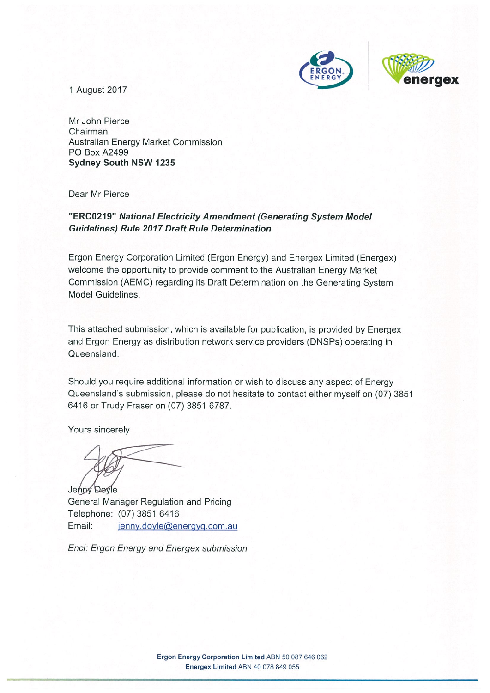

**aex** 

1 August 2017

Mr John Pierce Chairman **Australian Energy Market Commission PO Box A2499 Sydney South NSW 1235** 

Dear Mr Pierce

#### "ERC0219" National Electricity Amendment (Generating System Model **Guidelines) Rule 2017 Draft Rule Determination**

Ergon Energy Corporation Limited (Ergon Energy) and Energex Limited (Energex) welcome the opportunity to provide comment to the Australian Energy Market Commission (AEMC) regarding its Draft Determination on the Generating System Model Guidelines.

This attached submission, which is available for publication, is provided by Energex and Ergon Energy as distribution network service providers (DNSPs) operating in Queensland.

Should you require additional information or wish to discuss any aspect of Energy Queensland's submission, please do not hesitate to contact either myself on (07) 3851 6416 or Trudy Fraser on (07) 3851 6787.

Yours sincerely

Jenny Doyle General Manager Regulation and Pricing Telephone: (07) 3851 6416 Email: jenny.doyle@energyq.com.au

Encl: Ergon Energy and Energex submission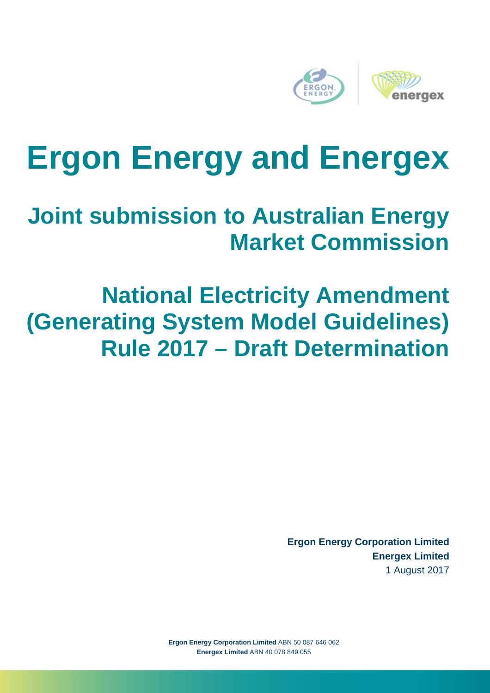

# **Ergon Energy and Energex**

# **Joint submission to Australian Energy Market Commission**

# **National Electricity Amendment (Generating System Model Guidelines) Rule 2017 – Draft Determination**

**Ergon Energy Corporation Limited Energex Limited** 1 August 2017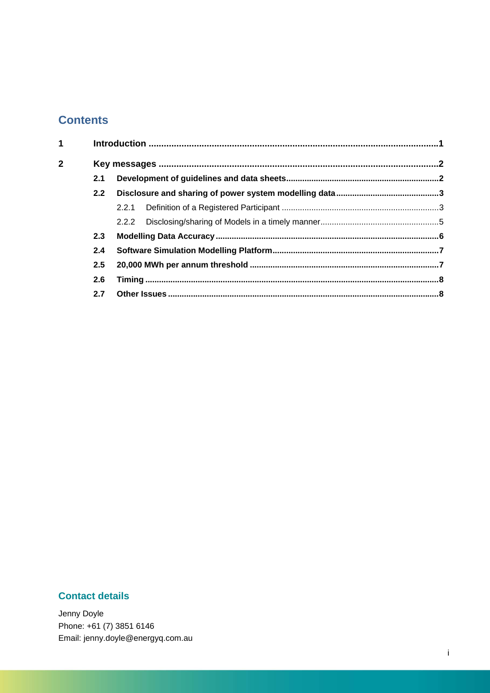### **Contents**

| $\overline{1}$ |     |  |  |  |
|----------------|-----|--|--|--|
| $\overline{2}$ |     |  |  |  |
|                | 2.1 |  |  |  |
|                | 2.2 |  |  |  |
|                |     |  |  |  |
|                |     |  |  |  |
|                | 2.3 |  |  |  |
|                | 2.4 |  |  |  |
|                | 2.5 |  |  |  |
|                | 2.6 |  |  |  |
|                | 2.7 |  |  |  |
|                |     |  |  |  |

#### **Contact details**

Jenny Doyle Phone: +61 (7) 3851 6146 Email: jenny.doyle@energyq.com.au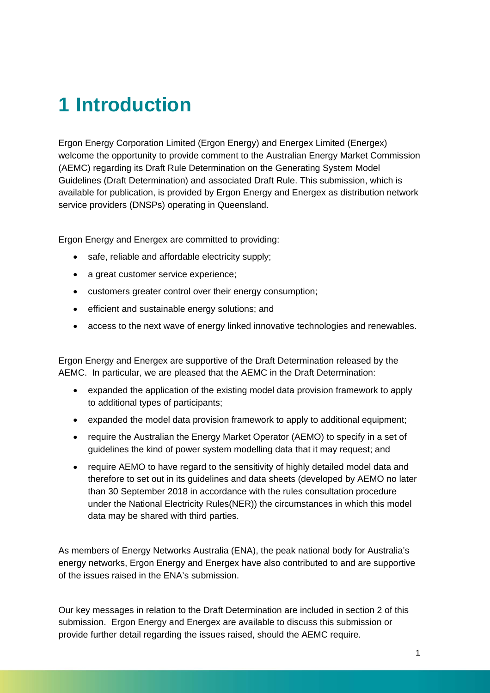## **1 Introduction**

Ergon Energy Corporation Limited (Ergon Energy) and Energex Limited (Energex) welcome the opportunity to provide comment to the Australian Energy Market Commission (AEMC) regarding its Draft Rule Determination on the Generating System Model Guidelines (Draft Determination) and associated Draft Rule. This submission, which is available for publication, is provided by Ergon Energy and Energex as distribution network service providers (DNSPs) operating in Queensland.

Ergon Energy and Energex are committed to providing:

- safe, reliable and affordable electricity supply:
- a great customer service experience;
- customers greater control over their energy consumption;
- efficient and sustainable energy solutions; and
- access to the next wave of energy linked innovative technologies and renewables.

Ergon Energy and Energex are supportive of the Draft Determination released by the AEMC. In particular, we are pleased that the AEMC in the Draft Determination:

- expanded the application of the existing model data provision framework to apply to additional types of participants;
- expanded the model data provision framework to apply to additional equipment;
- require the Australian the Energy Market Operator (AEMO) to specify in a set of guidelines the kind of power system modelling data that it may request; and
- require AEMO to have regard to the sensitivity of highly detailed model data and therefore to set out in its guidelines and data sheets (developed by AEMO no later than 30 September 2018 in accordance with the rules consultation procedure under the National Electricity Rules(NER)) the circumstances in which this model data may be shared with third parties.

As members of Energy Networks Australia (ENA), the peak national body for Australia's energy networks, Ergon Energy and Energex have also contributed to and are supportive of the issues raised in the ENA's submission.

Our key messages in relation to the Draft Determination are included in section 2 of this submission. Ergon Energy and Energex are available to discuss this submission or provide further detail regarding the issues raised, should the AEMC require.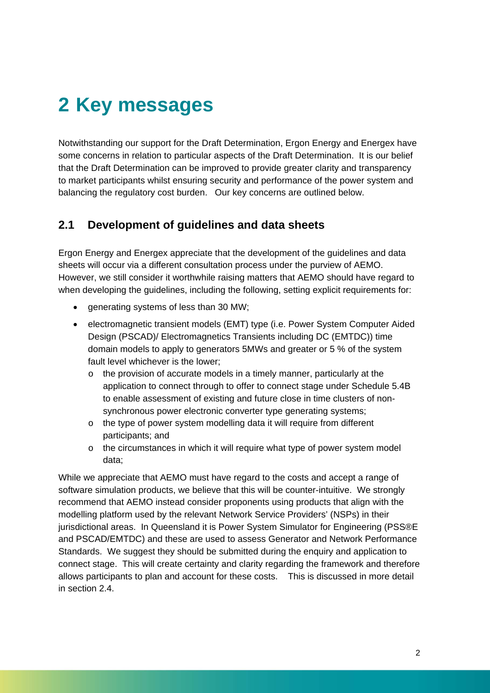# **2 Key messages**

Notwithstanding our support for the Draft Determination, Ergon Energy and Energex have some concerns in relation to particular aspects of the Draft Determination. It is our belief that the Draft Determination can be improved to provide greater clarity and transparency to market participants whilst ensuring security and performance of the power system and balancing the regulatory cost burden. Our key concerns are outlined below.

#### **2.1 Development of guidelines and data sheets**

Ergon Energy and Energex appreciate that the development of the guidelines and data sheets will occur via a different consultation process under the purview of AEMO. However, we still consider it worthwhile raising matters that AEMO should have regard to when developing the guidelines, including the following, setting explicit requirements for:

- generating systems of less than 30 MW;
- electromagnetic transient models (EMT) type (i.e. Power System Computer Aided Design (PSCAD)/ Electromagnetics Transients including DC (EMTDC)) time domain models to apply to generators 5MWs and greater or 5 % of the system fault level whichever is the lower;
	- o the provision of accurate models in a timely manner, particularly at the application to connect through to offer to connect stage under Schedule 5.4B to enable assessment of existing and future close in time clusters of nonsynchronous power electronic converter type generating systems;
	- o the type of power system modelling data it will require from different participants; and
	- $\circ$  the circumstances in which it will require what type of power system model data;

While we appreciate that AEMO must have regard to the costs and accept a range of software simulation products, we believe that this will be counter-intuitive. We strongly recommend that AEMO instead consider proponents using products that align with the modelling platform used by the relevant Network Service Providers' (NSPs) in their jurisdictional areas. In Queensland it is Power System Simulator for Engineering (PSS®E and PSCAD/EMTDC) and these are used to assess Generator and Network Performance Standards. We suggest they should be submitted during the enquiry and application to connect stage. This will create certainty and clarity regarding the framework and therefore allows participants to plan and account for these costs. This is discussed in more detail in section 2.4.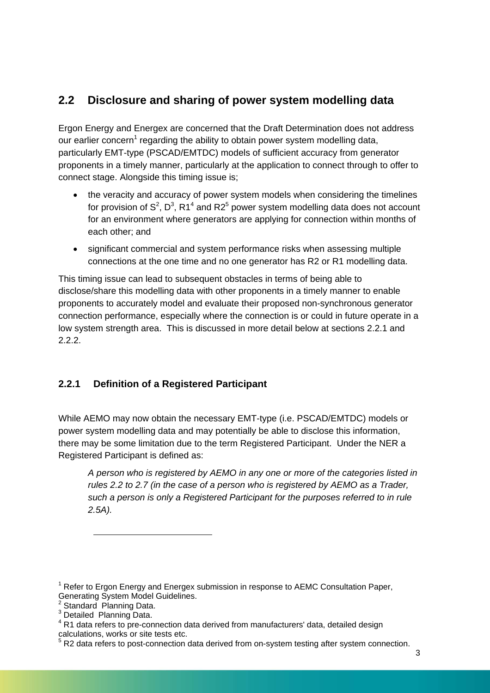### **2.2 Disclosure and sharing of power system modelling data**

Ergon Energy and Energex are concerned that the Draft Determination does not address our earlier concern<sup>1</sup> regarding the ability to obtain power system modelling data, particularly EMT-type (PSCAD/EMTDC) models of sufficient accuracy from generator proponents in a timely manner, particularly at the application to connect through to offer to connect stage. Alongside this timing issue is;

- the veracity and accuracy of power system models when considering the timelines for provision of  $S^2$ ,  $D^3$ , R1<sup>4</sup> and R2<sup>5</sup> power system modelling data does not account for an environment where generators are applying for connection within months of each other; and
- significant commercial and system performance risks when assessing multiple connections at the one time and no one generator has R2 or R1 modelling data.

This timing issue can lead to subsequent obstacles in terms of being able to disclose/share this modelling data with other proponents in a timely manner to enable proponents to accurately model and evaluate their proposed non-synchronous generator connection performance, especially where the connection is or could in future operate in a low system strength area. This is discussed in more detail below at sections 2.2.1 and 2.2.2.

#### **2.2.1 Definition of a Registered Participant**

While AEMO may now obtain the necessary EMT-type (i.e. PSCAD/EMTDC) models or power system modelling data and may potentially be able to disclose this information, there may be some limitation due to the term Registered Participant. Under the NER a Registered Participant is defined as:

*A person who is registered by AEMO in any one or more of the categories listed in rules 2.2 to 2.7 (in the case of a person who is registered by AEMO as a Trader, such a person is only a Registered Participant for the purposes referred to in rule 2.5A).* 

 $\overline{a}$ 

<sup>&</sup>lt;sup>1</sup> Refer to Ergon Energy and Energex submission in response to AEMC Consultation Paper, Generating System Model Guidelines.<br><sup>2</sup> Standard Planning Data.<br><sup>3</sup> Detailed Planning Data.

<sup>&</sup>lt;sup>4</sup> R1 data refers to pre-connection data derived from manufacturers' data, detailed design calculations, works or site tests etc.

 $5$  R2 data refers to post-connection data derived from on-system testing after system connection.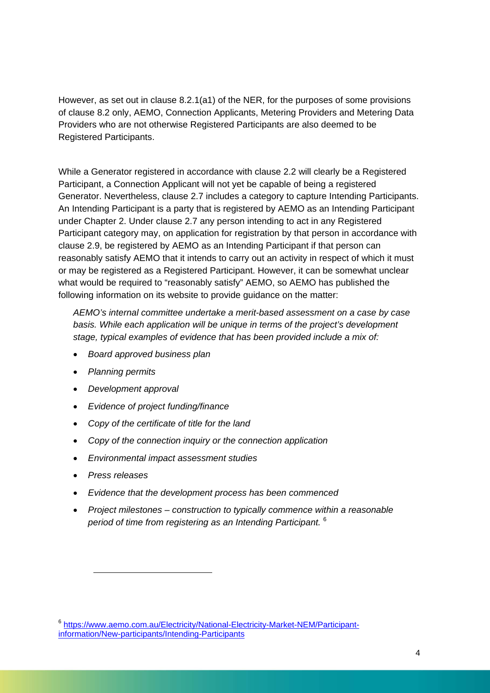However, as set out in clause 8.2.1(a1) of the NER, for the purposes of some provisions of clause 8.2 only, AEMO, Connection Applicants, Metering Providers and Metering Data Providers who are not otherwise Registered Participants are also deemed to be Registered Participants.

While a Generator registered in accordance with clause 2.2 will clearly be a Registered Participant, a Connection Applicant will not yet be capable of being a registered Generator. Nevertheless, clause 2.7 includes a category to capture Intending Participants. An Intending Participant is a party that is registered by AEMO as an Intending Participant under Chapter 2. Under clause 2.7 any person intending to act in any Registered Participant category may, on application for registration by that person in accordance with clause 2.9, be registered by AEMO as an Intending Participant if that person can reasonably satisfy AEMO that it intends to carry out an activity in respect of which it must or may be registered as a Registered Participant. However, it can be somewhat unclear what would be required to "reasonably satisfy" AEMO, so AEMO has published the following information on its website to provide guidance on the matter:

*AEMO's internal committee undertake a merit-based assessment on a case by case basis. While each application will be unique in terms of the project's development stage, typical examples of evidence that has been provided include a mix of:* 

- *Board approved business plan*
- *Planning permits*
- *Development approval*
- *Evidence of project funding/finance*
- *Copy of the certificate of title for the land*
- *Copy of the connection inquiry or the connection application*
- *Environmental impact assessment studies*
- *Press releases*

l

- *Evidence that the development process has been commenced*
- *Project milestones construction to typically commence within a reasonable period of time from registering as an Intending Participant.* <sup>6</sup>

<sup>6</sup> https://www.aemo.com.au/Electricity/National-Electricity-Market-NEM/Participantinformation/New-participants/Intending-Participants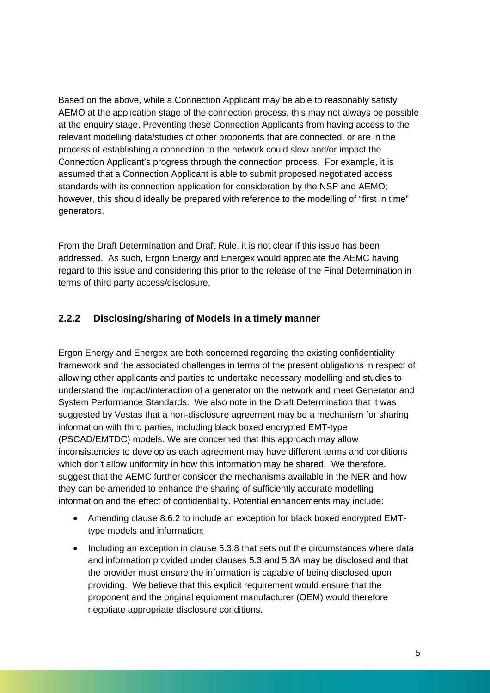Based on the above, while a Connection Applicant may be able to reasonably satisfy AEMO at the application stage of the connection process, this may not always be possible at the enquiry stage. Preventing these Connection Applicants from having access to the relevant modelling data/studies of other proponents that are connected, or are in the process of establishing a connection to the network could slow and/or impact the Connection Applicant's progress through the connection process. For example, it is assumed that a Connection Applicant is able to submit proposed negotiated access standards with its connection application for consideration by the NSP and AEMO; however, this should ideally be prepared with reference to the modelling of "first in time" generators.

From the Draft Determination and Draft Rule, it is not clear if this issue has been addressed. As such, Ergon Energy and Energex would appreciate the AEMC having regard to this issue and considering this prior to the release of the Final Determination in terms of third party access/disclosure.

#### **2.2.2 Disclosing/sharing of Models in a timely manner**

Ergon Energy and Energex are both concerned regarding the existing confidentiality framework and the associated challenges in terms of the present obligations in respect of allowing other applicants and parties to undertake necessary modelling and studies to understand the impact/interaction of a generator on the network and meet Generator and System Performance Standards. We also note in the Draft Determination that it was suggested by Vestas that a non-disclosure agreement may be a mechanism for sharing information with third parties, including black boxed encrypted EMT-type (PSCAD/EMTDC) models. We are concerned that this approach may allow inconsistencies to develop as each agreement may have different terms and conditions which don't allow uniformity in how this information may be shared. We therefore, suggest that the AEMC further consider the mechanisms available in the NER and how they can be amended to enhance the sharing of sufficiently accurate modelling information and the effect of confidentiality. Potential enhancements may include:

- Amending clause 8.6.2 to include an exception for black boxed encrypted EMTtype models and information;
- Including an exception in clause 5.3.8 that sets out the circumstances where data and information provided under clauses 5.3 and 5.3A may be disclosed and that the provider must ensure the information is capable of being disclosed upon providing. We believe that this explicit requirement would ensure that the proponent and the original equipment manufacturer (OEM) would therefore negotiate appropriate disclosure conditions.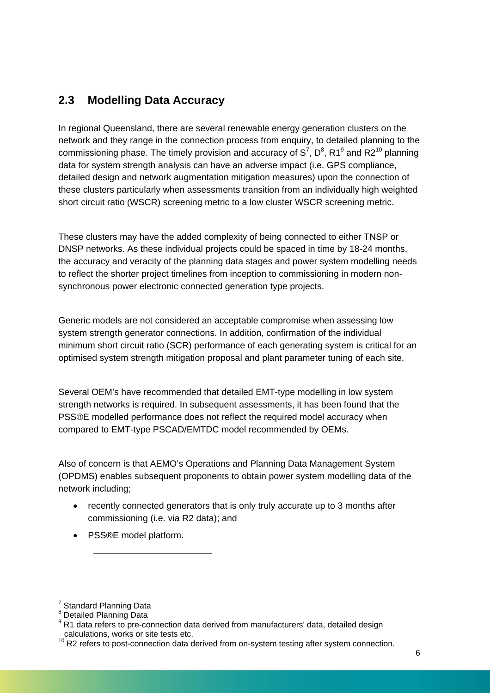### **2.3 Modelling Data Accuracy**

In regional Queensland, there are several renewable energy generation clusters on the network and they range in the connection process from enquiry, to detailed planning to the commissioning phase. The timely provision and accuracy of  $S^7$ ,  $D^8$ , R1<sup>9</sup> and R2<sup>10</sup> planning data for system strength analysis can have an adverse impact (i.e. GPS compliance, detailed design and network augmentation mitigation measures) upon the connection of these clusters particularly when assessments transition from an individually high weighted short circuit ratio (WSCR) screening metric to a low cluster WSCR screening metric.

These clusters may have the added complexity of being connected to either TNSP or DNSP networks. As these individual projects could be spaced in time by 18-24 months, the accuracy and veracity of the planning data stages and power system modelling needs to reflect the shorter project timelines from inception to commissioning in modern nonsynchronous power electronic connected generation type projects.

Generic models are not considered an acceptable compromise when assessing low system strength generator connections. In addition, confirmation of the individual minimum short circuit ratio (SCR) performance of each generating system is critical for an optimised system strength mitigation proposal and plant parameter tuning of each site.

Several OEM's have recommended that detailed EMT-type modelling in low system strength networks is required. In subsequent assessments, it has been found that the PSS®E modelled performance does not reflect the required model accuracy when compared to EMT-type PSCAD/EMTDC model recommended by OEMs.

Also of concern is that AEMO's Operations and Planning Data Management System (OPDMS) enables subsequent proponents to obtain power system modelling data of the network including;

- recently connected generators that is only truly accurate up to 3 months after commissioning (i.e. via R2 data); and
- PSS®E model platform.

l

<sup>&</sup>lt;sup>7</sup> Standard Planning Data

<sup>&</sup>lt;sup>8</sup> Detailed Planning Data

<sup>&</sup>lt;sup>9</sup> R1 data refers to pre-connection data derived from manufacturers' data, detailed design calculations, works or site tests etc.

 $10$  R2 refers to post-connection data derived from on-system testing after system connection.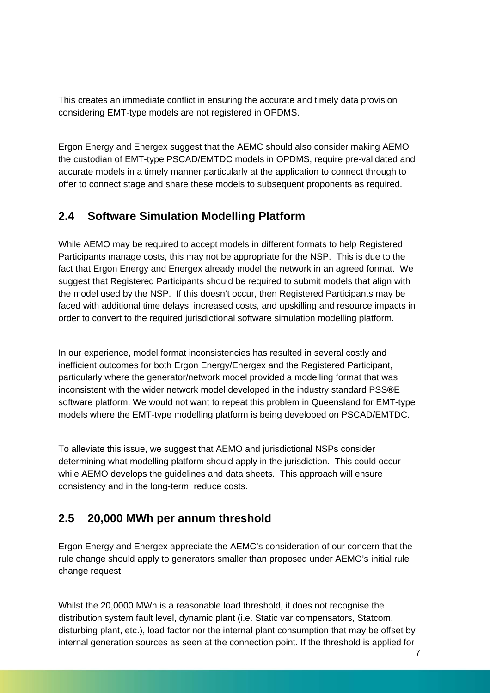This creates an immediate conflict in ensuring the accurate and timely data provision considering EMT-type models are not registered in OPDMS.

Ergon Energy and Energex suggest that the AEMC should also consider making AEMO the custodian of EMT-type PSCAD/EMTDC models in OPDMS, require pre-validated and accurate models in a timely manner particularly at the application to connect through to offer to connect stage and share these models to subsequent proponents as required.

#### **2.4 Software Simulation Modelling Platform**

While AEMO may be required to accept models in different formats to help Registered Participants manage costs, this may not be appropriate for the NSP. This is due to the fact that Ergon Energy and Energex already model the network in an agreed format. We suggest that Registered Participants should be required to submit models that align with the model used by the NSP. If this doesn't occur, then Registered Participants may be faced with additional time delays, increased costs, and upskilling and resource impacts in order to convert to the required jurisdictional software simulation modelling platform.

In our experience, model format inconsistencies has resulted in several costly and inefficient outcomes for both Ergon Energy/Energex and the Registered Participant, particularly where the generator/network model provided a modelling format that was inconsistent with the wider network model developed in the industry standard PSS®E software platform. We would not want to repeat this problem in Queensland for EMT-type models where the EMT-type modelling platform is being developed on PSCAD/EMTDC.

To alleviate this issue, we suggest that AEMO and jurisdictional NSPs consider determining what modelling platform should apply in the jurisdiction. This could occur while AEMO develops the guidelines and data sheets. This approach will ensure consistency and in the long-term, reduce costs.

#### **2.5 20,000 MWh per annum threshold**

Ergon Energy and Energex appreciate the AEMC's consideration of our concern that the rule change should apply to generators smaller than proposed under AEMO's initial rule change request.

Whilst the 20,0000 MWh is a reasonable load threshold, it does not recognise the distribution system fault level, dynamic plant (i.e. Static var compensators, Statcom, disturbing plant, etc.), load factor nor the internal plant consumption that may be offset by internal generation sources as seen at the connection point. If the threshold is applied for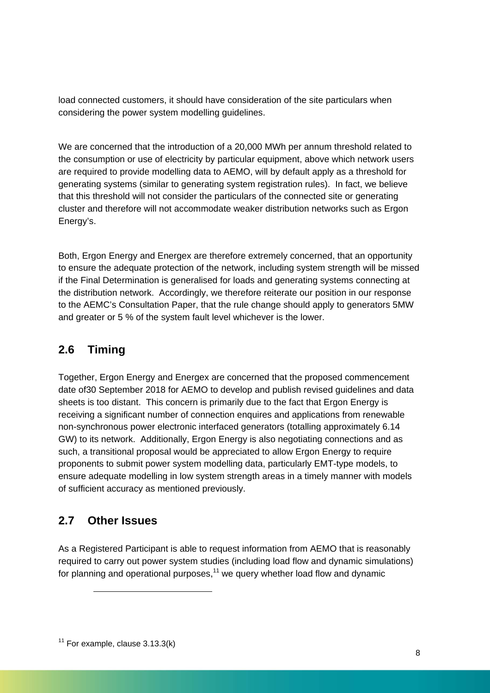load connected customers, it should have consideration of the site particulars when considering the power system modelling guidelines.

We are concerned that the introduction of a 20,000 MWh per annum threshold related to the consumption or use of electricity by particular equipment, above which network users are required to provide modelling data to AEMO, will by default apply as a threshold for generating systems (similar to generating system registration rules). In fact, we believe that this threshold will not consider the particulars of the connected site or generating cluster and therefore will not accommodate weaker distribution networks such as Ergon Energy's.

Both, Ergon Energy and Energex are therefore extremely concerned, that an opportunity to ensure the adequate protection of the network, including system strength will be missed if the Final Determination is generalised for loads and generating systems connecting at the distribution network. Accordingly, we therefore reiterate our position in our response to the AEMC's Consultation Paper, that the rule change should apply to generators 5MW and greater or 5 % of the system fault level whichever is the lower.

### **2.6 Timing**

Together, Ergon Energy and Energex are concerned that the proposed commencement date of30 September 2018 for AEMO to develop and publish revised guidelines and data sheets is too distant. This concern is primarily due to the fact that Ergon Energy is receiving a significant number of connection enquires and applications from renewable non-synchronous power electronic interfaced generators (totalling approximately 6.14 GW) to its network. Additionally, Ergon Energy is also negotiating connections and as such, a transitional proposal would be appreciated to allow Ergon Energy to require proponents to submit power system modelling data, particularly EMT-type models, to ensure adequate modelling in low system strength areas in a timely manner with models of sufficient accuracy as mentioned previously.

#### **2.7 Other Issues**

 $\overline{a}$ 

As a Registered Participant is able to request information from AEMO that is reasonably required to carry out power system studies (including load flow and dynamic simulations) for planning and operational purposes, $11$  we query whether load flow and dynamic